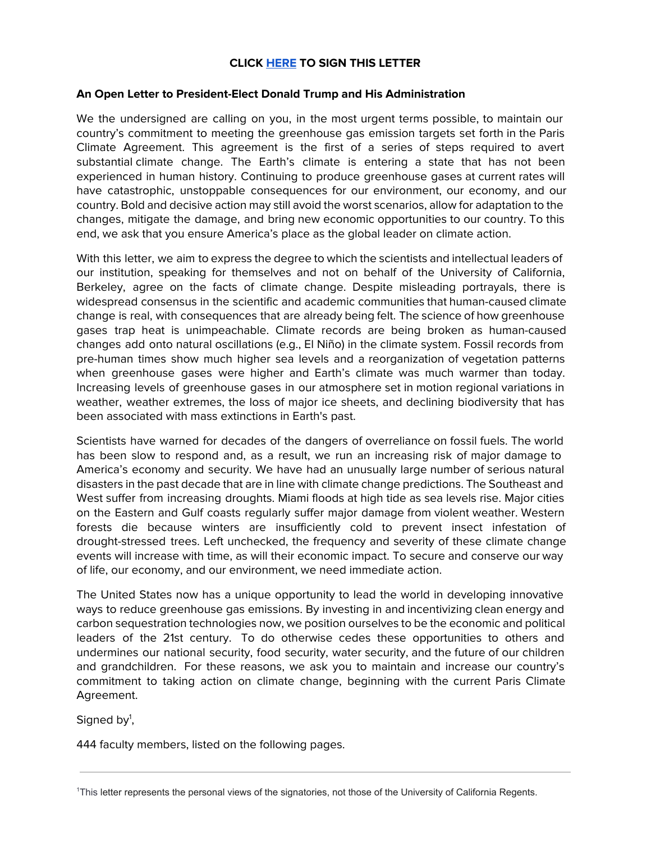# **CLICK [HERE](https://docs.google.com/a/berkeley.edu/forms/d/e/1FAIpQLScs6epj9q8US6-WKGKCqkcbRsE2fm_nXr3b0hHAkv3ol_H8Wg/viewform) TO SIGN THIS LETTER**

# **An Open Letter to President-Elect Donald Trump and His Administration**

We the undersigned are calling on you, in the most urgent terms possible, to maintain our country's commitment to meeting the greenhouse gas emission targets set forth in the Paris Climate Agreement. This agreement is the first of a series of steps required to avert substantial climate change. The Earth's climate is entering a state that has not been experienced in human history. Continuing to produce greenhouse gases at current rates will have catastrophic, unstoppable consequences for our environment, our economy, and our country. Bold and decisive action may still avoid the worst scenarios, allow for adaptation to the changes, mitigate the damage, and bring new economic opportunities to our country. To this end, we ask that you ensure America's place as the global leader on climate action.

With this letter, we aim to express the degree to which the scientists and intellectual leaders of our institution, speaking for themselves and not on behalf of the University of California, Berkeley, agree on the facts of climate change. Despite misleading portrayals, there is widespread consensus in the scientific and academic communities that human-caused climate change is real, with consequences that are already being felt. The science of how greenhouse gases trap heat is unimpeachable. Climate records are being broken as human-caused changes add onto natural oscillations (e.g., El Niño) in the climate system. Fossil records from pre-human times show much higher sea levels and a reorganization of vegetation patterns when greenhouse gases were higher and Earth's climate was much warmer than today. Increasing levels of greenhouse gases in our atmosphere set in motion regional variations in weather, weather extremes, the loss of major ice sheets, and declining biodiversity that has been associated with mass extinctions in Earth's past.

Scientists have warned for decades of the dangers of overreliance on fossil fuels. The world has been slow to respond and, as a result, we run an increasing risk of major damage to America's economy and security. We have had an unusually large number of serious natural disasters in the past decade that are in line with climate change predictions. The Southeast and West suffer from increasing droughts. Miami floods at high tide as sea levels rise. Major cities on the Eastern and Gulf coasts regularly suffer major damage from violent weather. Western forests die because winters are insufficiently cold to prevent insect infestation of drought-stressed trees. Left unchecked, the frequency and severity of these climate change events will increase with time, as will their economic impact. To secure and conserve our way of life, our economy, and our environment, we need immediate action.

The United States now has a unique opportunity to lead the world in developing innovative ways to reduce greenhouse gas emissions. By investing in and incentivizing clean energy and carbon sequestration technologies now, we position ourselves to be the economic and political leaders of the 21st century. To do otherwise cedes these opportunities to others and undermines our national security, food security, water security, and the future of our children and grandchildren. For these reasons, we ask you to maintain and increase our country's commitment to taking action on climate change, beginning with the current Paris Climate Agreement.

Signed by<sup>1</sup>,

444 faculty members, listed on the following pages.

<sup>1</sup>This letter represents the personal views of the signatories, not those of the University of California Regents.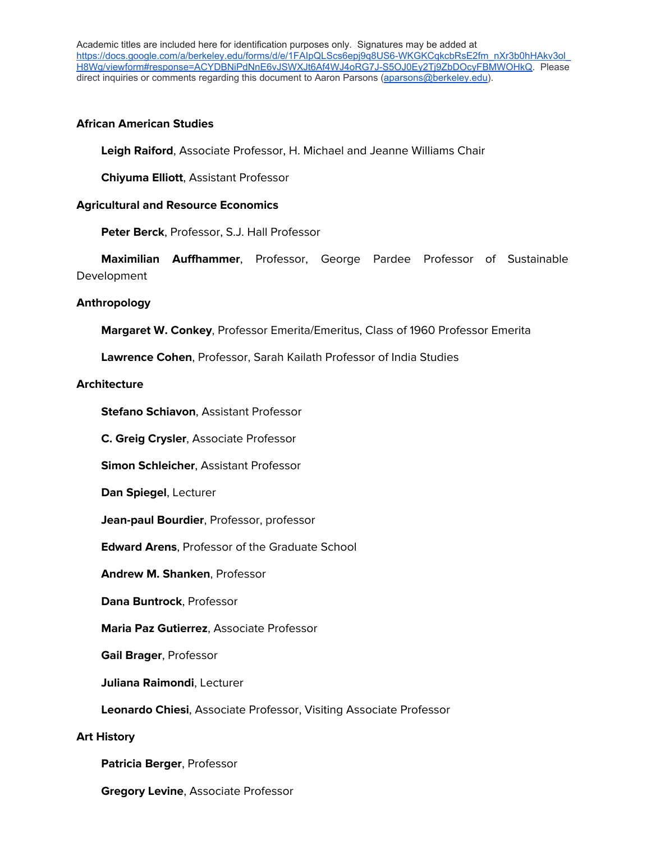Academic titles are included here for identification purposes only. Signatures may be added at [https://docs.google.com/a/berkeley.edu/forms/d/e/1FAIpQLScs6epj9q8US6-WKGKCqkcbRsE2fm\\_nXr3b0hHAkv3ol\\_](https://docs.google.com/a/berkeley.edu/forms/d/e/1FAIpQLScs6epj9q8US6-WKGKCqkcbRsE2fm_nXr3b0hHAkv3ol_H8Wg/viewform#response=ACYDBNiPdNnE6vJSWXJt6Af4WJ4oRG7J-S5OJ0Ey2Tj9ZbDOcyFBMWOHkQ) [H8Wg/viewform#response=ACYDBNiPdNnE6vJSWXJt6Af4WJ4oRG7J-S5OJ0Ey2Tj9ZbDOcyFBMWOHkQ.](https://docs.google.com/a/berkeley.edu/forms/d/e/1FAIpQLScs6epj9q8US6-WKGKCqkcbRsE2fm_nXr3b0hHAkv3ol_H8Wg/viewform#response=ACYDBNiPdNnE6vJSWXJt6Af4WJ4oRG7J-S5OJ0Ey2Tj9ZbDOcyFBMWOHkQ) Please direct inquiries or comments regarding this document to Aaron Parsons ([aparsons@berkeley.edu\)](mailto:aparsons@berkeley.edu).

# **African American Studies**

**Leigh Raiford**, Associate Professor, H. Michael and Jeanne Williams Chair

**Chiyuma Elliott**, Assistant Professor

## **Agricultural and Resource Economics**

**Peter Berck**, Professor, S.J. Hall Professor

 **Maximilian Auffhammer**, Professor, George Pardee Professor of Sustainable Development

## **Anthropology**

**Margaret W. Conkey**, Professor Emerita/Emeritus, Class of 1960 Professor Emerita

**Lawrence Cohen**, Professor, Sarah Kailath Professor of India Studies

## **Architecture**

**Stefano Schiavon**, Assistant Professor

**C. Greig Crysler**, Associate Professor

**Simon Schleicher**, Assistant Professor

**Dan Spiegel**, Lecturer

**Jean-paul Bourdier**, Professor, professor

**Edward Arens**, Professor of the Graduate School

**Andrew M. Shanken**, Professor

**Dana Buntrock**, Professor

**Maria Paz Gutierrez**, Associate Professor

**Gail Brager**, Professor

**Juliana Raimondi**, Lecturer

**Leonardo Chiesi**, Associate Professor, Visiting Associate Professor

#### **Art History**

**Patricia Berger**, Professor

**Gregory Levine**, Associate Professor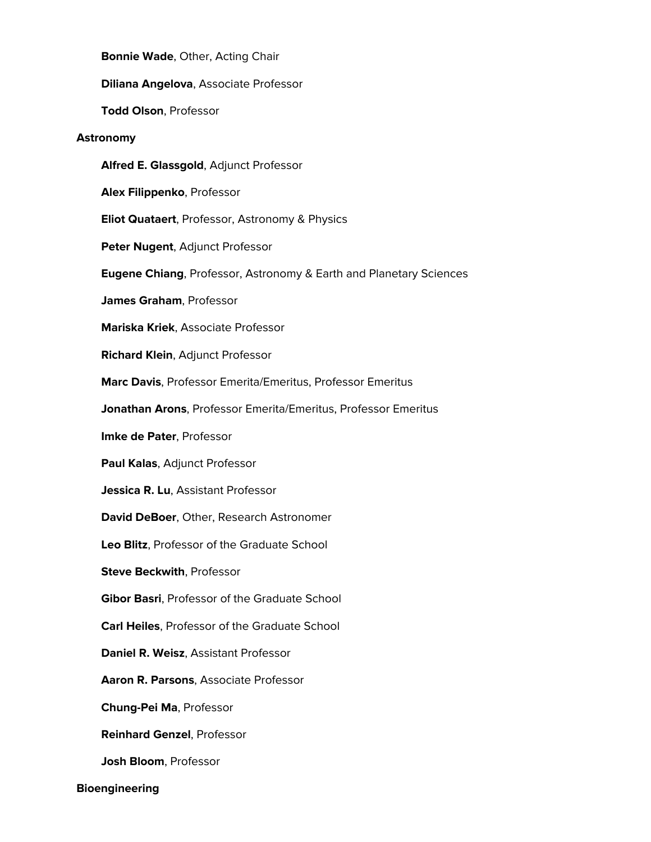**Bonnie Wade**, Other, Acting Chair

**Diliana Angelova**, Associate Professor

**Todd Olson**, Professor

#### **Astronomy**

**Alfred E. Glassgold**, Adjunct Professor

**Alex Filippenko**, Professor

**Eliot Quataert**, Professor, Astronomy & Physics

**Peter Nugent**, Adjunct Professor

**Eugene Chiang**, Professor, Astronomy & Earth and Planetary Sciences

**James Graham**, Professor

**Mariska Kriek**, Associate Professor

**Richard Klein**, Adjunct Professor

**Marc Davis**, Professor Emerita/Emeritus, Professor Emeritus

**Jonathan Arons**, Professor Emerita/Emeritus, Professor Emeritus

**Imke de Pater**, Professor

**Paul Kalas**, Adjunct Professor

**Jessica R. Lu**, Assistant Professor

**David DeBoer**, Other, Research Astronomer

**Leo Blitz**, Professor of the Graduate School

**Steve Beckwith**, Professor

**Gibor Basri**, Professor of the Graduate School

**Carl Heiles**, Professor of the Graduate School

**Daniel R. Weisz**, Assistant Professor

**Aaron R. Parsons**, Associate Professor

**Chung-Pei Ma**, Professor

**Reinhard Genzel**, Professor

**Josh Bloom**, Professor

**Bioengineering**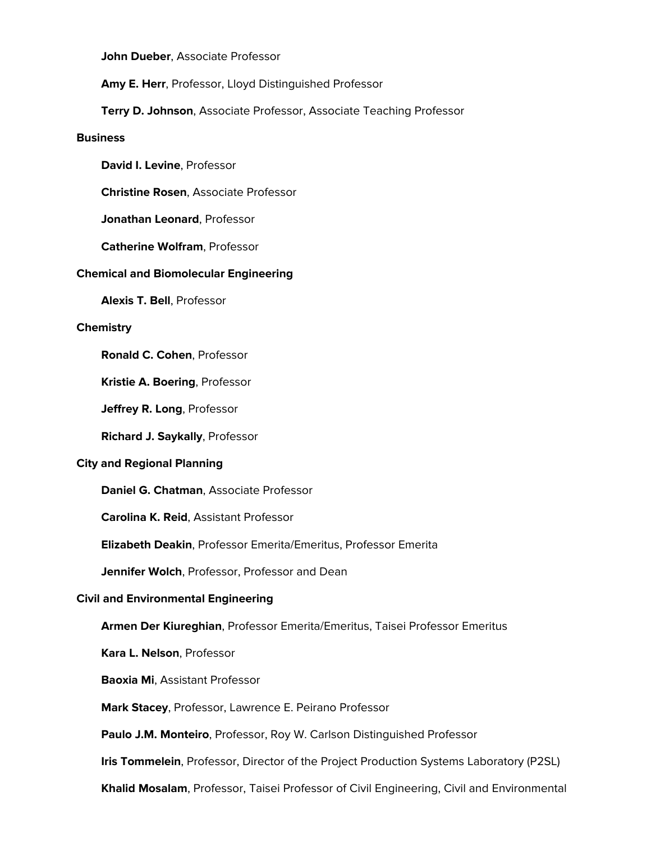**John Dueber**, Associate Professor

**Amy E. Herr**, Professor, Lloyd Distinguished Professor

**Terry D. Johnson**, Associate Professor, Associate Teaching Professor

#### **Business**

**David I. Levine**, Professor

**Christine Rosen**, Associate Professor

**Jonathan Leonard**, Professor

**Catherine Wolfram**, Professor

#### **Chemical and Biomolecular Engineering**

**Alexis T. Bell**, Professor

#### **Chemistry**

**Ronald C. Cohen**, Professor

**Kristie A. Boering**, Professor

**Jeffrey R. Long**, Professor

**Richard J. Saykally**, Professor

### **City and Regional Planning**

**Daniel G. Chatman**, Associate Professor

**Carolina K. Reid**, Assistant Professor

**Elizabeth Deakin**, Professor Emerita/Emeritus, Professor Emerita

**Jennifer Wolch**, Professor, Professor and Dean

## **Civil and Environmental Engineering**

**Armen Der Kiureghian**, Professor Emerita/Emeritus, Taisei Professor Emeritus

**Kara L. Nelson**, Professor

**Baoxia Mi**, Assistant Professor

**Mark Stacey**, Professor, Lawrence E. Peirano Professor

**Paulo J.M. Monteiro**, Professor, Roy W. Carlson Distinguished Professor

**Iris Tommelein**, Professor, Director of the Project Production Systems Laboratory (P2SL)

**Khalid Mosalam**, Professor, Taisei Professor of Civil Engineering, Civil and Environmental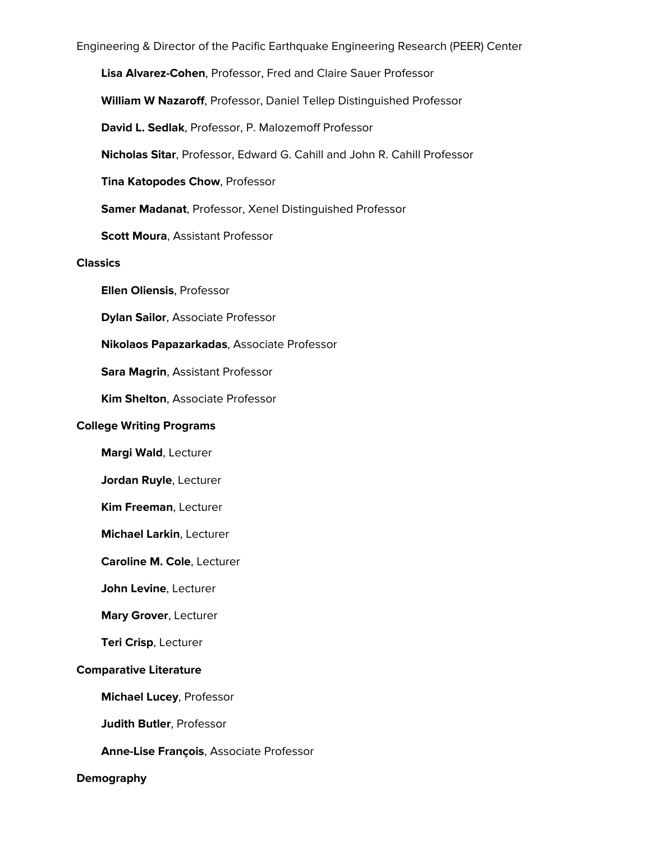Engineering & Director of the Pacific Earthquake Engineering Research (PEER) Center

**Lisa Alvarez-Cohen**, Professor, Fred and Claire Sauer Professor

**William W Nazaroff**, Professor, Daniel Tellep Distinguished Professor

**David L. Sedlak**, Professor, P. Malozemoff Professor

**Nicholas Sitar**, Professor, Edward G. Cahill and John R. Cahill Professor

**Tina Katopodes Chow**, Professor

**Samer Madanat**, Professor, Xenel Distinguished Professor

**Scott Moura**, Assistant Professor

**Classics**

**Ellen Oliensis**, Professor

**Dylan Sailor**, Associate Professor

**Nikolaos Papazarkadas**, Associate Professor

**Sara Magrin**, Assistant Professor

**Kim Shelton**, Associate Professor

#### **College Writing Programs**

**Margi Wald**, Lecturer

**Jordan Ruyle**, Lecturer

**Kim Freeman**, Lecturer

**Michael Larkin**, Lecturer

**Caroline M. Cole**, Lecturer

**John Levine**, Lecturer

**Mary Grover**, Lecturer

**Teri Crisp**, Lecturer

#### **Comparative Literature**

**Michael Lucey**, Professor

**Judith Butler**, Professor

## **Anne-Lise François**, Associate Professor

#### **Demography**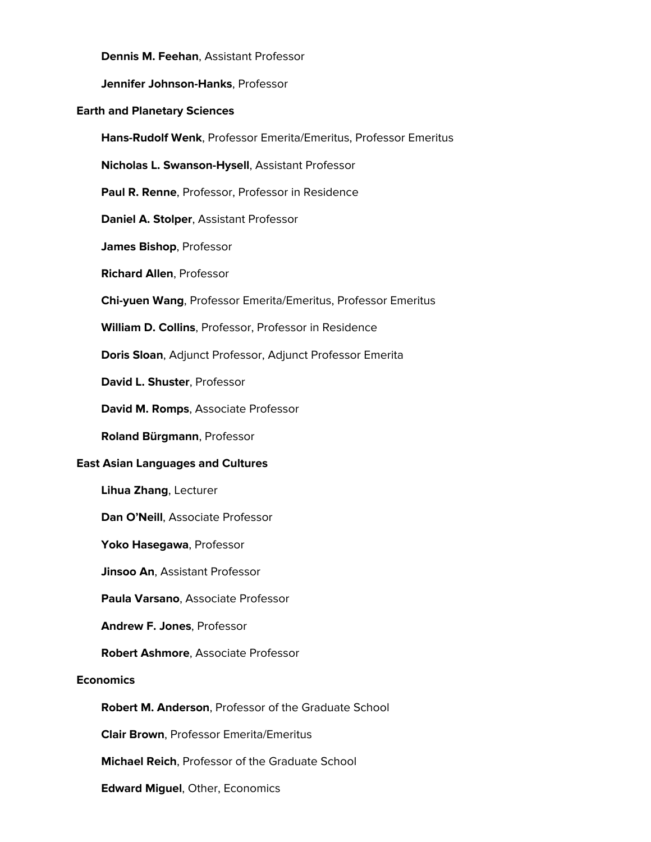**Dennis M. Feehan**, Assistant Professor

**Jennifer Johnson-Hanks**, Professor

## **Earth and Planetary Sciences**

**Hans-Rudolf Wenk**, Professor Emerita/Emeritus, Professor Emeritus

**Nicholas L. Swanson-Hysell**, Assistant Professor

**Paul R. Renne**, Professor, Professor in Residence

**Daniel A. Stolper**, Assistant Professor

**James Bishop**, Professor

**Richard Allen**, Professor

**Chi-yuen Wang**, Professor Emerita/Emeritus, Professor Emeritus

**William D. Collins**, Professor, Professor in Residence

**Doris Sloan**, Adjunct Professor, Adjunct Professor Emerita

**David L. Shuster**, Professor

**David M. Romps**, Associate Professor

**Roland Bürgmann**, Professor

#### **East Asian Languages and Cultures**

**Lihua Zhang**, Lecturer

**Dan O'Neill**, Associate Professor

**Yoko Hasegawa**, Professor

**Jinsoo An**, Assistant Professor

**Paula Varsano**, Associate Professor

**Andrew F. Jones**, Professor

**Robert Ashmore**, Associate Professor

# **Economics**

**Robert M. Anderson**, Professor of the Graduate School

**Clair Brown**, Professor Emerita/Emeritus

**Michael Reich**, Professor of the Graduate School

**Edward Miguel**, Other, Economics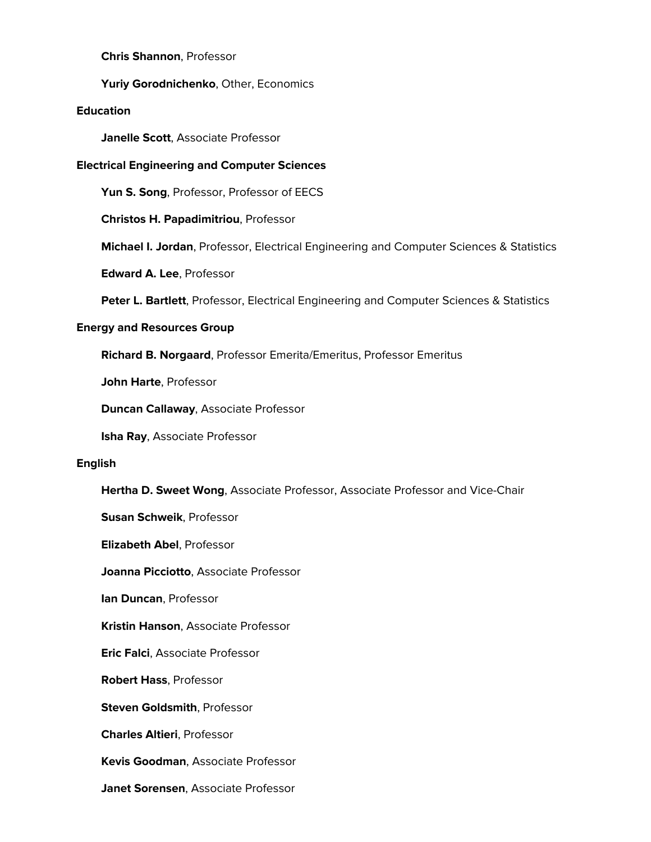## **Chris Shannon**, Professor

## **Yuriy Gorodnichenko**, Other, Economics

## **Education**

**Janelle Scott**, Associate Professor

## **Electrical Engineering and Computer Sciences**

**Yun S. Song**, Professor, Professor of EECS

**Christos H. Papadimitriou**, Professor

**Michael I. Jordan**, Professor, Electrical Engineering and Computer Sciences & Statistics

**Edward A. Lee**, Professor

**Peter L. Bartlett**, Professor, Electrical Engineering and Computer Sciences & Statistics

## **Energy and Resources Group**

**Richard B. Norgaard**, Professor Emerita/Emeritus, Professor Emeritus

**John Harte**, Professor

**Duncan Callaway**, Associate Professor

**Isha Ray**, Associate Professor

#### **English**

**Hertha D. Sweet Wong**, Associate Professor, Associate Professor and Vice-Chair

**Susan Schweik**, Professor

**Elizabeth Abel**, Professor

**Joanna Picciotto**, Associate Professor

**Ian Duncan**, Professor

**Kristin Hanson**, Associate Professor

**Eric Falci**, Associate Professor

**Robert Hass**, Professor

**Steven Goldsmith**, Professor

**Charles Altieri**, Professor

**Kevis Goodman**, Associate Professor

**Janet Sorensen**, Associate Professor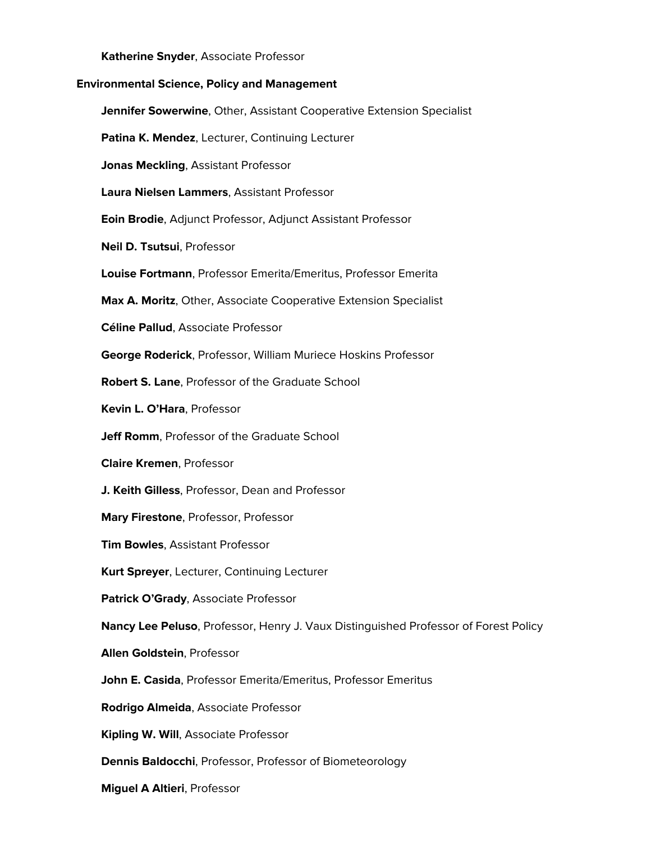**Katherine Snyder**, Associate Professor

## **Environmental Science, Policy and Management**

**Jennifer Sowerwine**, Other, Assistant Cooperative Extension Specialist

**Patina K. Mendez**, Lecturer, Continuing Lecturer

**Jonas Meckling**, Assistant Professor

**Laura Nielsen Lammers**, Assistant Professor

**Eoin Brodie**, Adjunct Professor, Adjunct Assistant Professor

**Neil D. Tsutsui**, Professor

**Louise Fortmann**, Professor Emerita/Emeritus, Professor Emerita

**Max A. Moritz**, Other, Associate Cooperative Extension Specialist

**Céline Pallud**, Associate Professor

**George Roderick**, Professor, William Muriece Hoskins Professor

**Robert S. Lane**, Professor of the Graduate School

**Kevin L. O'Hara**, Professor

**Jeff Romm.** Professor of the Graduate School

**Claire Kremen**, Professor

**J. Keith Gilless**, Professor, Dean and Professor

**Mary Firestone**, Professor, Professor

**Tim Bowles**, Assistant Professor

**Kurt Spreyer**, Lecturer, Continuing Lecturer

**Patrick O'Grady**, Associate Professor

**Nancy Lee Peluso**, Professor, Henry J. Vaux Distinguished Professor of Forest Policy

**Allen Goldstein**, Professor

**John E. Casida**, Professor Emerita/Emeritus, Professor Emeritus

**Rodrigo Almeida**, Associate Professor

**Kipling W. Will**, Associate Professor

**Dennis Baldocchi**, Professor, Professor of Biometeorology

**Miguel A Altieri**, Professor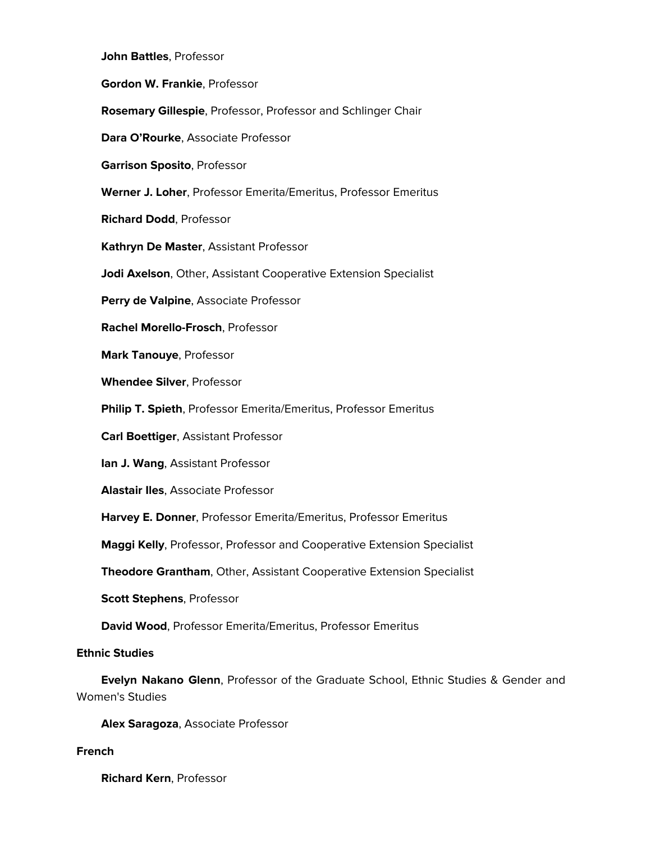**John Battles**, Professor **Gordon W. Frankie**, Professor **Rosemary Gillespie**, Professor, Professor and Schlinger Chair **Dara O'Rourke**, Associate Professor **Garrison Sposito**, Professor **Werner J. Loher**, Professor Emerita/Emeritus, Professor Emeritus **Richard Dodd**, Professor **Kathryn De Master**, Assistant Professor **Jodi Axelson**, Other, Assistant Cooperative Extension Specialist **Perry de Valpine**, Associate Professor **Rachel Morello-Frosch**, Professor **Mark Tanouye**, Professor **Whendee Silver**, Professor **Philip T. Spieth**, Professor Emerita/Emeritus, Professor Emeritus **Carl Boettiger**, Assistant Professor **Ian J. Wang**, Assistant Professor **Alastair Iles**, Associate Professor **Harvey E. Donner**, Professor Emerita/Emeritus, Professor Emeritus **Maggi Kelly**, Professor, Professor and Cooperative Extension Specialist **Theodore Grantham**, Other, Assistant Cooperative Extension Specialist **Scott Stephens**, Professor **David Wood**, Professor Emerita/Emeritus, Professor Emeritus **Ethnic Studies Evelyn Nakano Glenn**, Professor of the Graduate School, Ethnic Studies & Gender and Women's Studies

**Alex Saragoza**, Associate Professor

# **French**

**Richard Kern**, Professor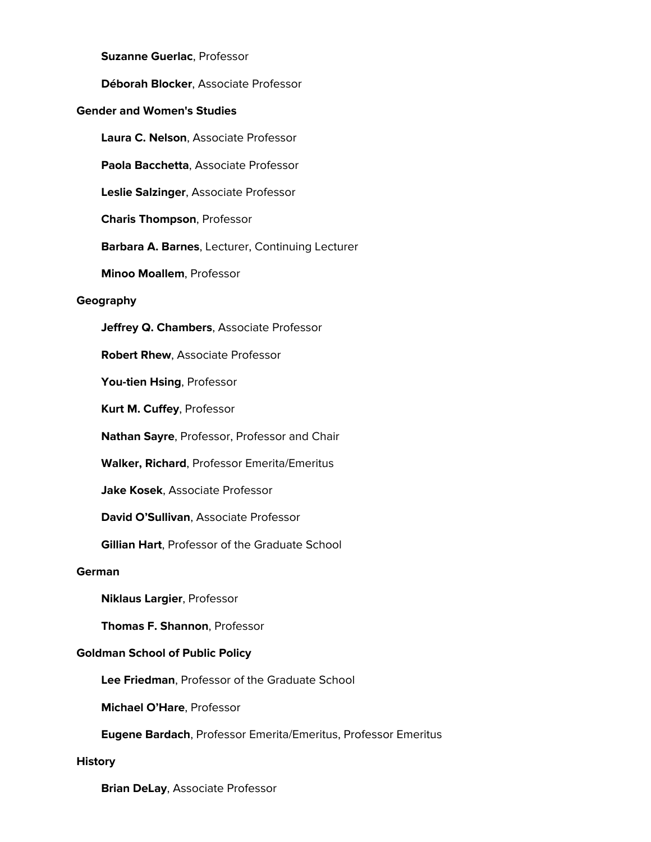**Suzanne Guerlac**, Professor

**Déborah Blocker**, Associate Professor

# **Gender and Women's Studies**

**Laura C. Nelson**, Associate Professor

**Paola Bacchetta**, Associate Professor

**Leslie Salzinger**, Associate Professor

**Charis Thompson**, Professor

**Barbara A. Barnes**, Lecturer, Continuing Lecturer

**Minoo Moallem**, Professor

#### **Geography**

**Jeffrey Q. Chambers**, Associate Professor

**Robert Rhew**, Associate Professor

**You-tien Hsing**, Professor

**Kurt M. Cuffey**, Professor

**Nathan Sayre**, Professor, Professor and Chair

**Walker, Richard**, Professor Emerita/Emeritus

**Jake Kosek**, Associate Professor

**David O'Sullivan**, Associate Professor

**Gillian Hart**, Professor of the Graduate School

#### **German**

**Niklaus Largier**, Professor

**Thomas F. Shannon**, Professor

# **Goldman School of Public Policy**

**Lee Friedman**, Professor of the Graduate School

**Michael O'Hare**, Professor

**Eugene Bardach**, Professor Emerita/Emeritus, Professor Emeritus

#### **History**

**Brian DeLay**, Associate Professor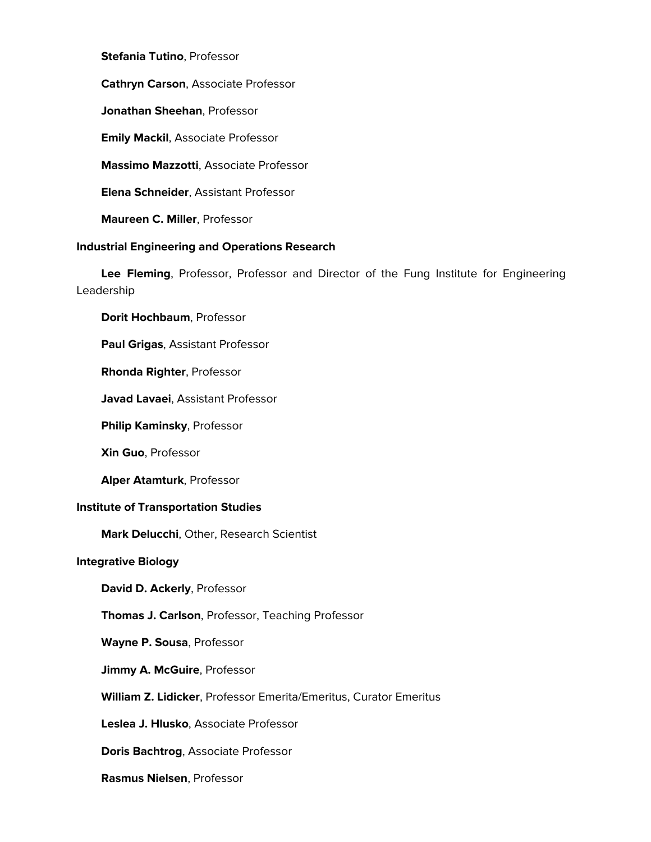**Stefania Tutino**, Professor

**Cathryn Carson**, Associate Professor

**Jonathan Sheehan**, Professor

**Emily Mackil**, Associate Professor

**Massimo Mazzotti**, Associate Professor

**Elena Schneider**, Assistant Professor

**Maureen C. Miller**, Professor

## **Industrial Engineering and Operations Research**

 **Lee Fleming**, Professor, Professor and Director of the Fung Institute for Engineering Leadership

**Dorit Hochbaum**, Professor

**Paul Grigas**, Assistant Professor

**Rhonda Righter**, Professor

**Javad Lavaei**, Assistant Professor

**Philip Kaminsky**, Professor

**Xin Guo**, Professor

**Alper Atamturk**, Professor

## **Institute of Transportation Studies**

**Mark Delucchi**, Other, Research Scientist

#### **Integrative Biology**

**David D. Ackerly**, Professor

**Thomas J. Carlson**, Professor, Teaching Professor

**Wayne P. Sousa**, Professor

**Jimmy A. McGuire**, Professor

**William Z. Lidicker**, Professor Emerita/Emeritus, Curator Emeritus

**Leslea J. Hlusko**, Associate Professor

**Doris Bachtrog**, Associate Professor

**Rasmus Nielsen**, Professor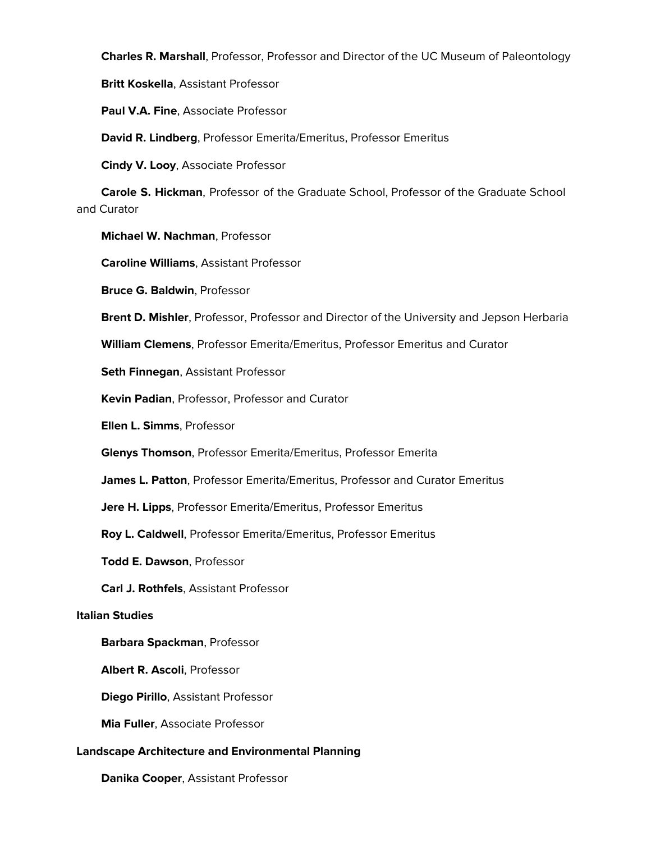**Charles R. Marshall**, Professor, Professor and Director of the UC Museum of Paleontology

**Britt Koskella**, Assistant Professor

**Paul V.A. Fine**, Associate Professor

**David R. Lindberg**, Professor Emerita/Emeritus, Professor Emeritus

**Cindy V. Looy**, Associate Professor

 **Carole S. Hickman**, Professor of the Graduate School, Professor of the Graduate School and Curator

**Michael W. Nachman**, Professor

**Caroline Williams**, Assistant Professor

**Bruce G. Baldwin**, Professor

**Brent D. Mishler**, Professor, Professor and Director of the University and Jepson Herbaria

**William Clemens**, Professor Emerita/Emeritus, Professor Emeritus and Curator

**Seth Finnegan**, Assistant Professor

**Kevin Padian**, Professor, Professor and Curator

**Ellen L. Simms**, Professor

**Glenys Thomson**, Professor Emerita/Emeritus, Professor Emerita

**James L. Patton**, Professor Emerita/Emeritus, Professor and Curator Emeritus

**Jere H. Lipps**, Professor Emerita/Emeritus, Professor Emeritus

**Roy L. Caldwell**, Professor Emerita/Emeritus, Professor Emeritus

**Todd E. Dawson**, Professor

**Carl J. Rothfels**, Assistant Professor

## **Italian Studies**

# **Barbara Spackman**, Professor

**Albert R. Ascoli**, Professor

**Diego Pirillo**, Assistant Professor

**Mia Fuller**, Associate Professor

# **Landscape Architecture and Environmental Planning**

**Danika Cooper**, Assistant Professor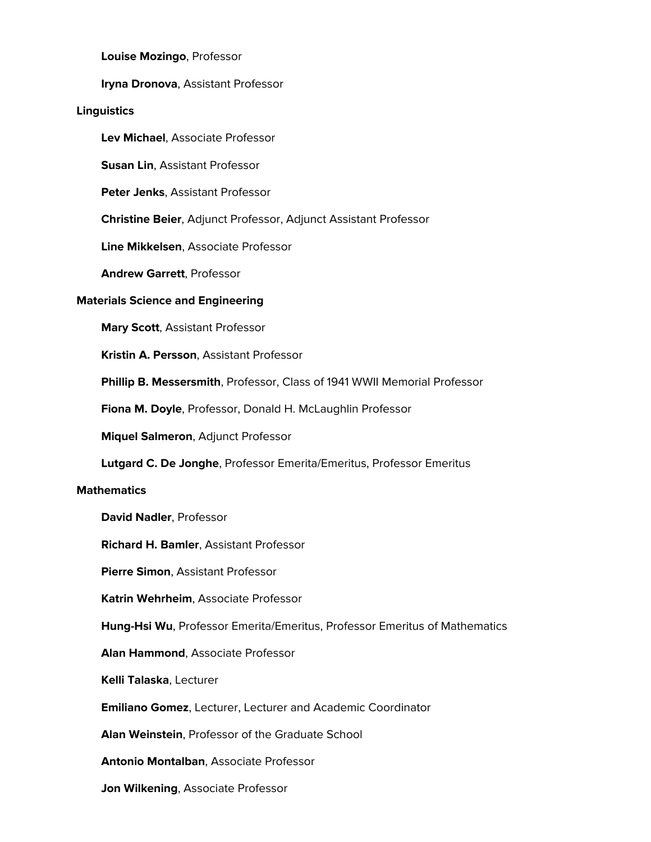**Louise Mozingo**, Professor

**Iryna Dronova**, Assistant Professor

# **Linguistics**

**Lev Michael**, Associate Professor

**Susan Lin**, Assistant Professor

**Peter Jenks**, Assistant Professor

**Christine Beier**, Adjunct Professor, Adjunct Assistant Professor

**Line Mikkelsen**, Associate Professor

**Andrew Garrett**, Professor

# **Materials Science and Engineering**

**Mary Scott**, Assistant Professor

**Kristin A. Persson**, Assistant Professor

**Phillip B. Messersmith**, Professor, Class of 1941 WWII Memorial Professor

**Fiona M. Doyle**, Professor, Donald H. McLaughlin Professor

**Miquel Salmeron**, Adjunct Professor

**Lutgard C. De Jonghe**, Professor Emerita/Emeritus, Professor Emeritus

# **Mathematics**

**David Nadler**, Professor

**Richard H. Bamler**, Assistant Professor

**Pierre Simon**, Assistant Professor

**Katrin Wehrheim**, Associate Professor

**Hung-Hsi Wu**, Professor Emerita/Emeritus, Professor Emeritus of Mathematics

**Alan Hammond**, Associate Professor

**Kelli Talaska**, Lecturer

**Emiliano Gomez**, Lecturer, Lecturer and Academic Coordinator

**Alan Weinstein**, Professor of the Graduate School

**Antonio Montalban**, Associate Professor

**Jon Wilkening**, Associate Professor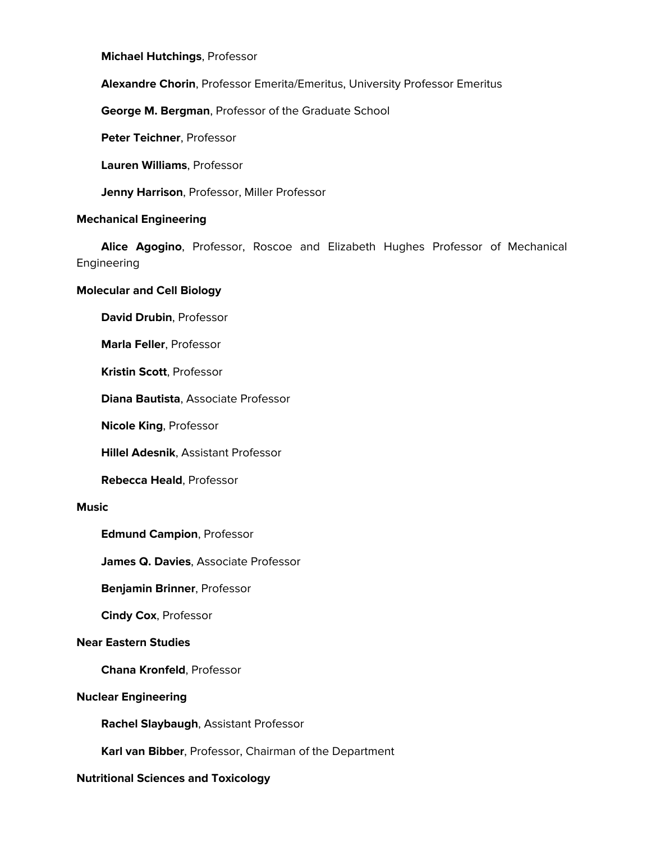**Michael Hutchings**, Professor

**Alexandre Chorin**, Professor Emerita/Emeritus, University Professor Emeritus

**George M. Bergman**, Professor of the Graduate School

**Peter Teichner**, Professor

**Lauren Williams**, Professor

**Jenny Harrison**, Professor, Miller Professor

## **Mechanical Engineering**

 **Alice Agogino**, Professor, Roscoe and Elizabeth Hughes Professor of Mechanical Engineering

# **Molecular and Cell Biology**

**David Drubin**, Professor

**Marla Feller**, Professor

**Kristin Scott**, Professor

**Diana Bautista**, Associate Professor

**Nicole King**, Professor

**Hillel Adesnik**, Assistant Professor

**Rebecca Heald**, Professor

#### **Music**

**Edmund Campion**, Professor

**James Q. Davies**, Associate Professor

**Benjamin Brinner**, Professor

**Cindy Cox**, Professor

## **Near Eastern Studies**

**Chana Kronfeld**, Professor

## **Nuclear Engineering**

**Rachel Slaybaugh**, Assistant Professor

**Karl van Bibber**, Professor, Chairman of the Department

# **Nutritional Sciences and Toxicology**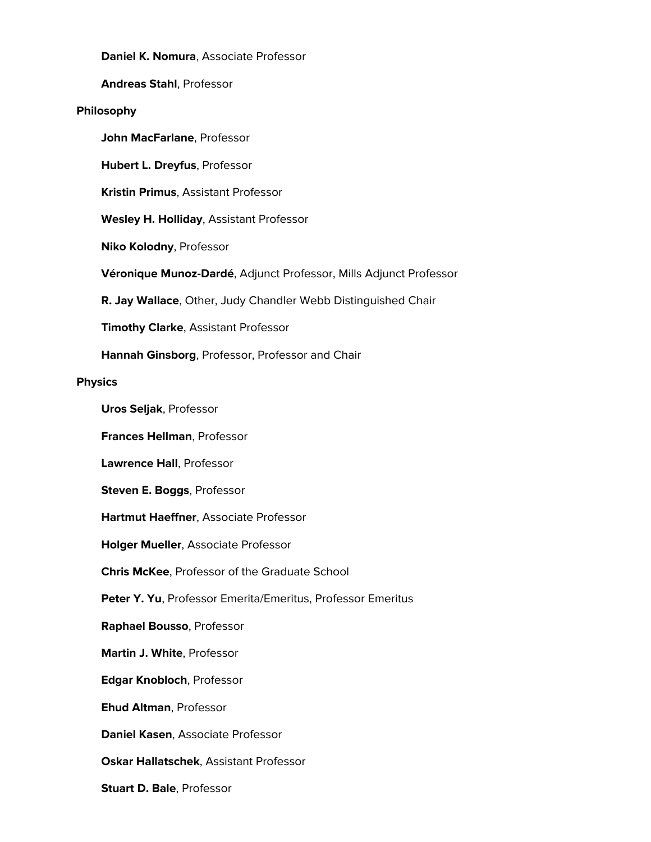**Daniel K. Nomura**, Associate Professor

**Andreas Stahl**, Professor

## **Philosophy**

**John MacFarlane**, Professor

**Hubert L. Dreyfus**, Professor

**Kristin Primus**, Assistant Professor

**Wesley H. Holliday**, Assistant Professor

**Niko Kolodny**, Professor

**Véronique Munoz-Dardé**, Adjunct Professor, Mills Adjunct Professor

**R. Jay Wallace**, Other, Judy Chandler Webb Distinguished Chair

**Timothy Clarke**, Assistant Professor

**Hannah Ginsborg**, Professor, Professor and Chair

#### **Physics**

**Uros Seljak**, Professor

**Frances Hellman**, Professor

**Lawrence Hall**, Professor

**Steven E. Boggs**, Professor

**Hartmut Haeffner**, Associate Professor

**Holger Mueller**, Associate Professor

**Chris McKee**, Professor of the Graduate School

**Peter Y. Yu**, Professor Emerita/Emeritus, Professor Emeritus

**Raphael Bousso**, Professor

**Martin J. White**, Professor

**Edgar Knobloch**, Professor

**Ehud Altman**, Professor

**Daniel Kasen**, Associate Professor

**Oskar Hallatschek**, Assistant Professor

**Stuart D. Bale**, Professor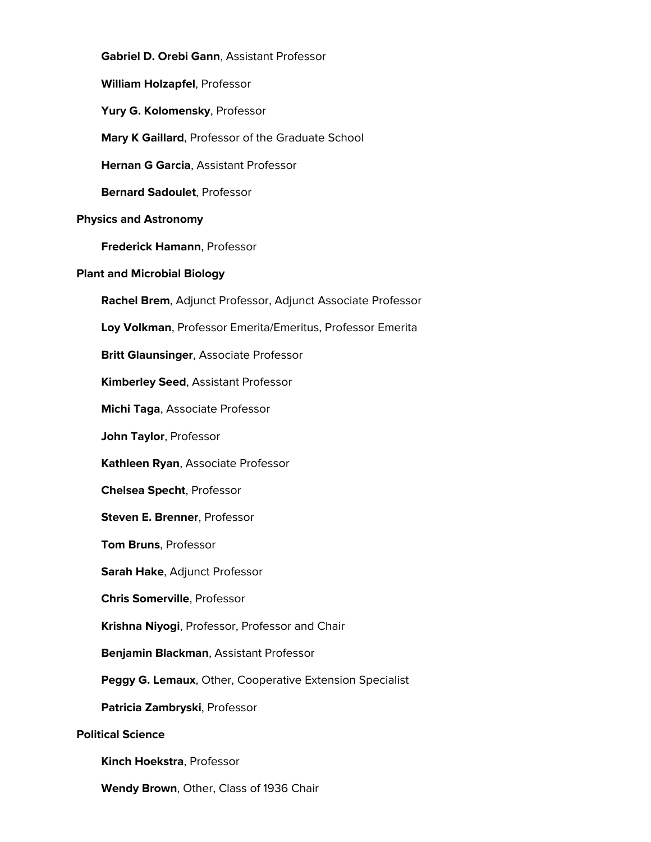**Gabriel D. Orebi Gann**, Assistant Professor **William Holzapfel**, Professor **Yury G. Kolomensky**, Professor **Mary K Gaillard**, Professor of the Graduate School **Hernan G Garcia**, Assistant Professor **Bernard Sadoulet**, Professor **Physics and Astronomy Frederick Hamann**, Professor **Plant and Microbial Biology Rachel Brem**, Adjunct Professor, Adjunct Associate Professor **Loy Volkman**, Professor Emerita/Emeritus, Professor Emerita **Britt Glaunsinger**, Associate Professor **Kimberley Seed**, Assistant Professor **Michi Taga**, Associate Professor **John Taylor**, Professor **Kathleen Ryan**, Associate Professor **Chelsea Specht**, Professor **Steven E. Brenner**, Professor **Tom Bruns**, Professor **Sarah Hake**, Adjunct Professor **Chris Somerville**, Professor **Krishna Niyogi**, Professor, Professor and Chair **Benjamin Blackman**, Assistant Professor **Peggy G. Lemaux**, Other, Cooperative Extension Specialist **Patricia Zambryski**, Professor **Political Science Kinch Hoekstra**, Professor

**Wendy Brown**, Other, Class of 1936 Chair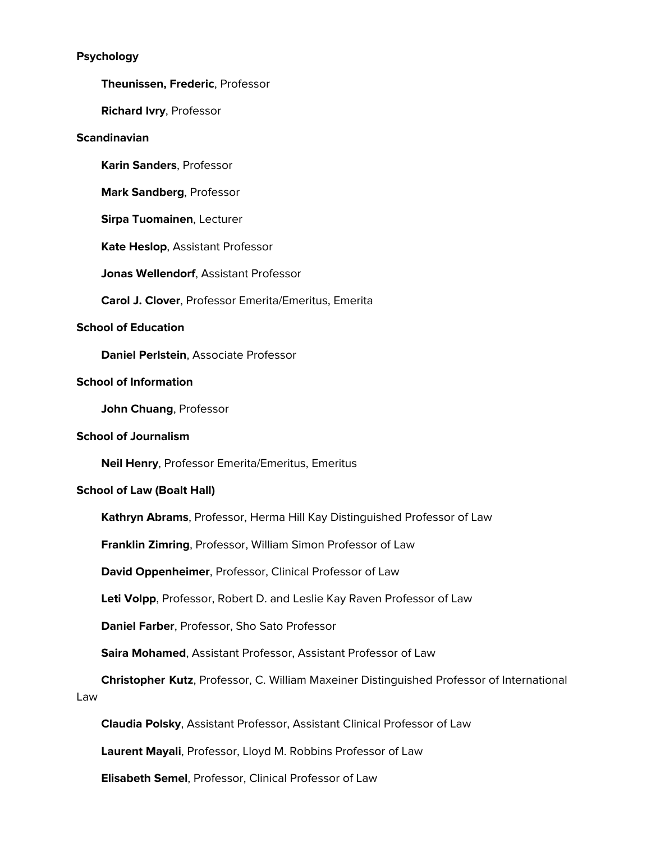# **Psychology**

**Theunissen, Frederic**, Professor

**Richard Ivry**, Professor

# **Scandinavian**

**Karin Sanders**, Professor

**Mark Sandberg**, Professor

**Sirpa Tuomainen**, Lecturer

**Kate Heslop**, Assistant Professor

**Jonas Wellendorf**, Assistant Professor

**Carol J. Clover**, Professor Emerita/Emeritus, Emerita

# **School of Education**

**Daniel Perlstein**, Associate Professor

## **School of Information**

**John Chuang**, Professor

# **School of Journalism**

**Neil Henry**, Professor Emerita/Emeritus, Emeritus

# **School of Law (Boalt Hall)**

**Kathryn Abrams**, Professor, Herma Hill Kay Distinguished Professor of Law

**Franklin Zimring**, Professor, William Simon Professor of Law

**David Oppenheimer**, Professor, Clinical Professor of Law

**Leti Volpp**, Professor, Robert D. and Leslie Kay Raven Professor of Law

**Daniel Farber**, Professor, Sho Sato Professor

**Saira Mohamed**, Assistant Professor, Assistant Professor of Law

 **Christopher Kutz**, Professor, C. William Maxeiner Distinguished Professor of International Law

**Claudia Polsky**, Assistant Professor, Assistant Clinical Professor of Law

**Laurent Mayali**, Professor, Lloyd M. Robbins Professor of Law

**Elisabeth Semel**, Professor, Clinical Professor of Law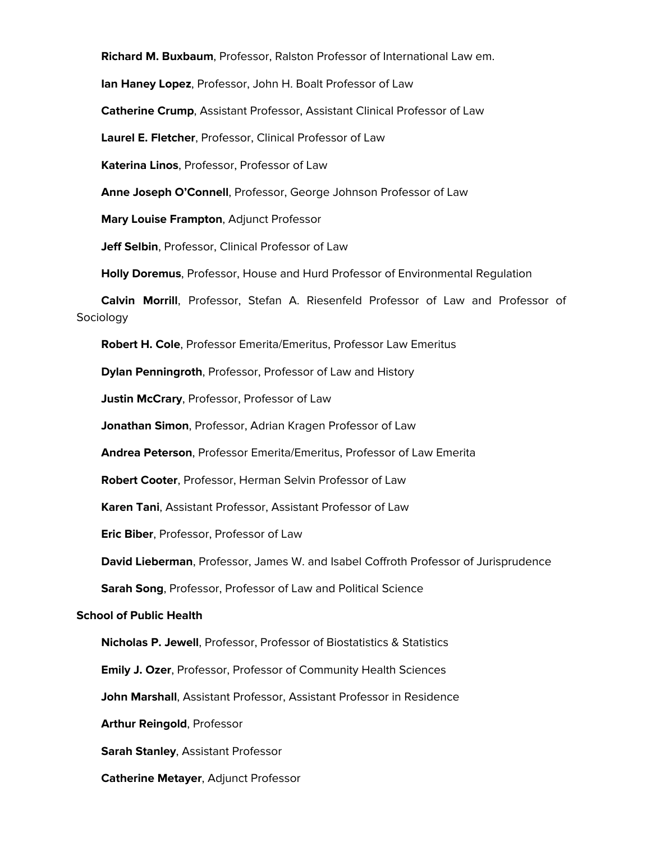**Richard M. Buxbaum**, Professor, Ralston Professor of International Law em.

**Ian Haney Lopez**, Professor, John H. Boalt Professor of Law

**Catherine Crump**, Assistant Professor, Assistant Clinical Professor of Law

**Laurel E. Fletcher**, Professor, Clinical Professor of Law

**Katerina Linos**, Professor, Professor of Law

**Anne Joseph O'Connell**, Professor, George Johnson Professor of Law

**Mary Louise Frampton**, Adjunct Professor

**Jeff Selbin**, Professor, Clinical Professor of Law

**Holly Doremus**, Professor, House and Hurd Professor of Environmental Regulation

 **Calvin Morrill**, Professor, Stefan A. Riesenfeld Professor of Law and Professor of Sociology

**Robert H. Cole**, Professor Emerita/Emeritus, Professor Law Emeritus

**Dylan Penningroth**, Professor, Professor of Law and History

**Justin McCrary**, Professor, Professor of Law

**Jonathan Simon**, Professor, Adrian Kragen Professor of Law

**Andrea Peterson**, Professor Emerita/Emeritus, Professor of Law Emerita

**Robert Cooter**, Professor, Herman Selvin Professor of Law

**Karen Tani**, Assistant Professor, Assistant Professor of Law

**Eric Biber**, Professor, Professor of Law

**David Lieberman**, Professor, James W. and Isabel Coffroth Professor of Jurisprudence

**Sarah Song**, Professor, Professor of Law and Political Science

#### **School of Public Health**

**Nicholas P. Jewell**, Professor, Professor of Biostatistics & Statistics

**Emily J. Ozer**, Professor, Professor of Community Health Sciences

**John Marshall**, Assistant Professor, Assistant Professor in Residence

**Arthur Reingold**, Professor

**Sarah Stanley**, Assistant Professor

**Catherine Metayer**, Adjunct Professor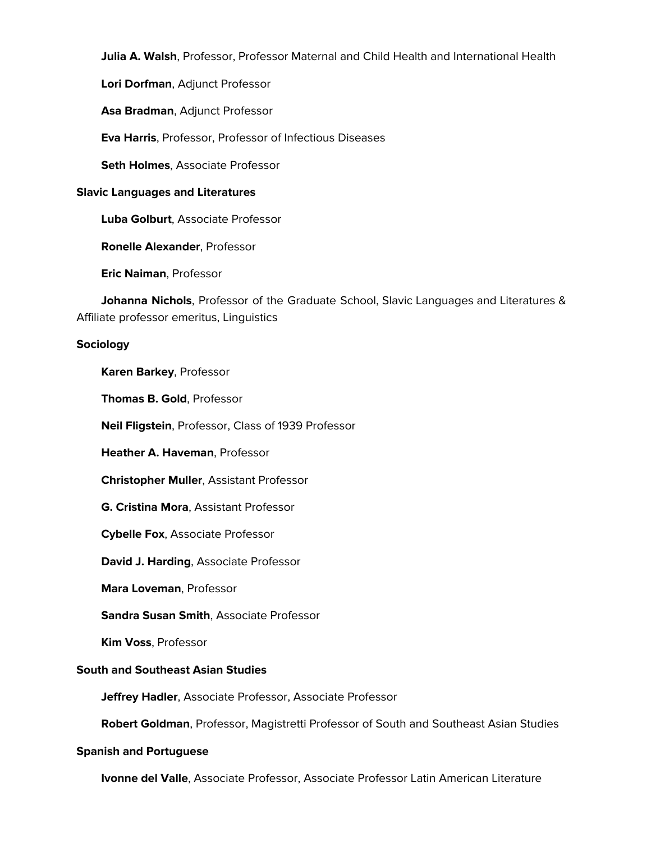**Julia A. Walsh**, Professor, Professor Maternal and Child Health and International Health

**Lori Dorfman**, Adjunct Professor

**Asa Bradman**, Adjunct Professor

**Eva Harris**, Professor, Professor of Infectious Diseases

**Seth Holmes**, Associate Professor

# **Slavic Languages and Literatures**

**Luba Golburt**, Associate Professor

**Ronelle Alexander**, Professor

**Eric Naiman**, Professor

 **Johanna Nichols**, Professor of the Graduate School, Slavic Languages and Literatures & Affiliate professor emeritus, Linguistics

# **Sociology**

**Karen Barkey**, Professor

**Thomas B. Gold**, Professor

**Neil Fligstein**, Professor, Class of 1939 Professor

**Heather A. Haveman**, Professor

**Christopher Muller**, Assistant Professor

**G. Cristina Mora**, Assistant Professor

**Cybelle Fox**, Associate Professor

**David J. Harding**, Associate Professor

**Mara Loveman**, Professor

**Sandra Susan Smith**, Associate Professor

**Kim Voss**, Professor

# **South and Southeast Asian Studies**

**Jeffrey Hadler**, Associate Professor, Associate Professor

**Robert Goldman**, Professor, Magistretti Professor of South and Southeast Asian Studies

# **Spanish and Portuguese**

**Ivonne del Valle**, Associate Professor, Associate Professor Latin American Literature